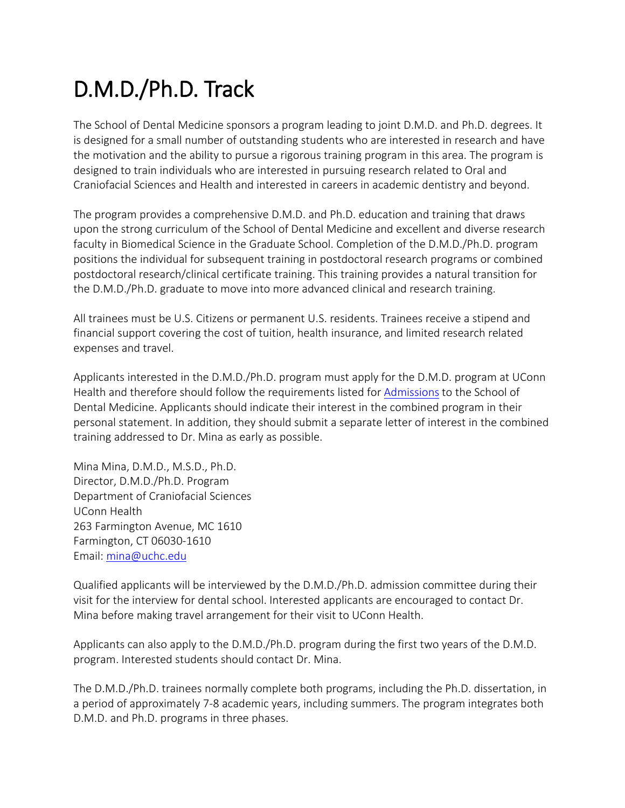# D.M.D./Ph.D. Track

The School of Dental Medicine sponsors a program leading to joint D.M.D. and Ph.D. degrees. It is designed for a small number of outstanding students who are interested in research and have the motivation and the ability to pursue a rigorous training program in this area. The program is designed to train individuals who are interested in pursuing research related to Oral and Craniofacial Sciences and Health and interested in careers in academic dentistry and beyond.

The program provides a comprehensive D.M.D. and Ph.D. education and training that draws upon the strong curriculum of the School of Dental Medicine and excellent and diverse research faculty in Biomedical Science in the Graduate School. Completion of the D.M.D./Ph.D. program positions the individual for subsequent training in postdoctoral research programs or combined postdoctoral research/clinical certificate training. This training provides a natural transition for the D.M.D./Ph.D. graduate to move into more advanced clinical and research training.

All trainees must be U.S. Citizens or permanent U.S. residents. Trainees receive a stipend and financial support covering the cost of tuition, health insurance, and limited research related expenses and travel.

Applicants interested in the D.M.D./Ph.D. program must apply for the D.M.D. program at UConn Health and therefore should follow the requirements listed for [Admissions](http://dentalmedicine.uconn.edu/programs-and-admissions/predoctoral-program/) to the School of Dental Medicine. Applicants should indicate their interest in the combined program in their personal statement. In addition, they should submit a separate letter of interest in the combined training addressed to Dr. Mina as early as possible.

Mina Mina, D.M.D., M.S.D., Ph.D. Director, D.M.D./Ph.D. Program Department of Craniofacial Sciences UConn Health 263 Farmington Avenue, MC 1610 Farmington, CT 06030-1610 Email: [mina@uchc.edu](mailto:mina@uchc.edu)

Qualified applicants will be interviewed by the D.M.D./Ph.D. admission committee during their visit for the interview for dental school. Interested applicants are encouraged to contact Dr. Mina before making travel arrangement for their visit to UConn Health.

Applicants can also apply to the D.M.D./Ph.D. program during the first two years of the D.M.D. program. Interested students should contact Dr. Mina.

The D.M.D./Ph.D. trainees normally complete both programs, including the Ph.D. dissertation, in a period of approximately 7-8 academic years, including summers. The program integrates both D.M.D. and Ph.D. programs in three phases.